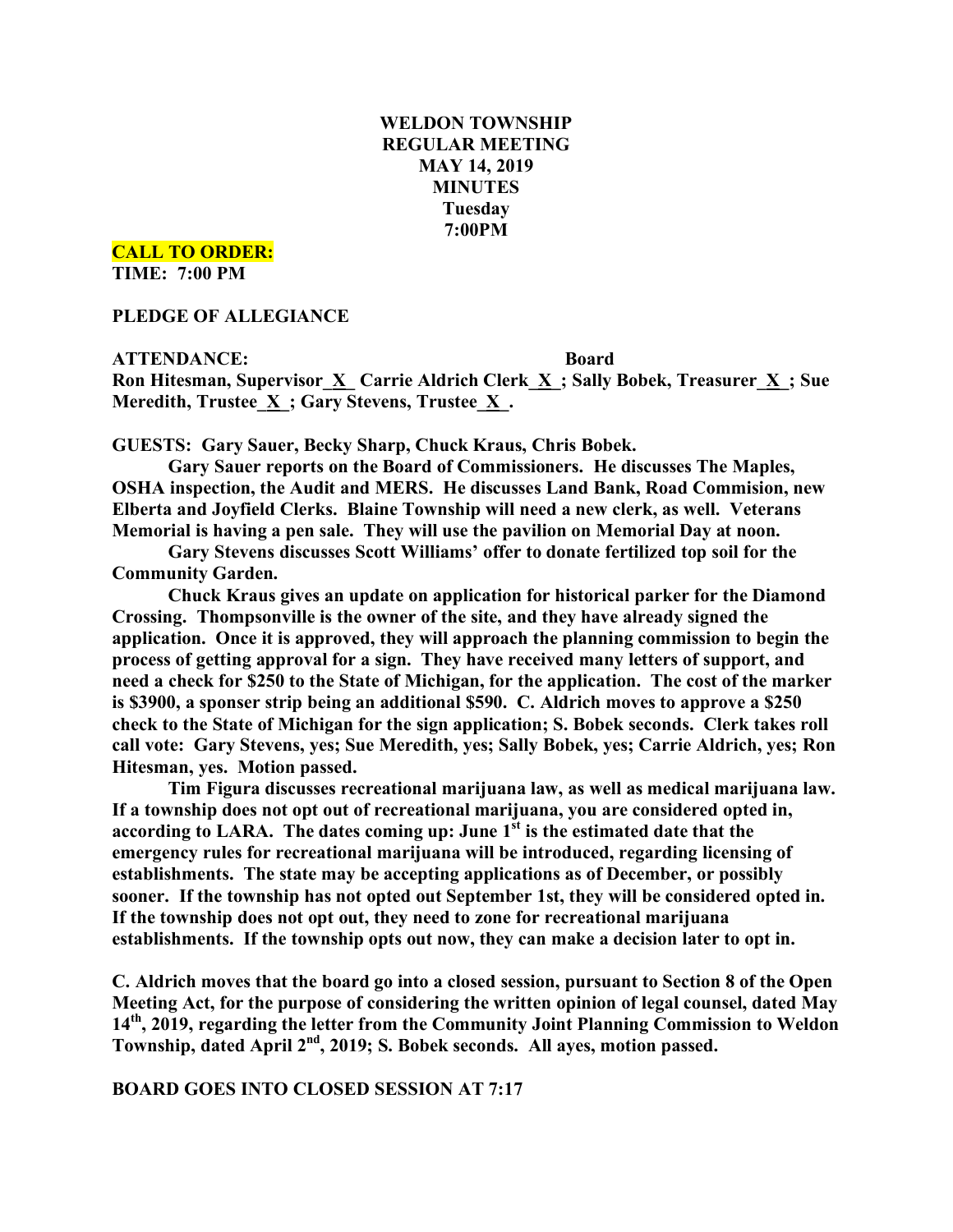# **WELDON TOWNSHIP REGULAR MEETING MAY 14, 2019 MINUTES Tuesday 7:00PM**

**CALL TO ORDER:**

**TIME: 7:00 PM**

**PLEDGE OF ALLEGIANCE**

**ATTENDANCE: Board**

**Ron Hitesman, Supervisor\_X\_ Carrie Aldrich Clerk\_X\_; Sally Bobek, Treasurer\_X\_; Sue Meredith, Trustee**  $\underline{X}$ **; Gary Stevens, Trustee**  $\underline{X}$ **.** 

**GUESTS: Gary Sauer, Becky Sharp, Chuck Kraus, Chris Bobek.**

**Gary Sauer reports on the Board of Commissioners. He discusses The Maples, OSHA inspection, the Audit and MERS. He discusses Land Bank, Road Commision, new Elberta and Joyfield Clerks. Blaine Township will need a new clerk, as well. Veterans Memorial is having a pen sale. They will use the pavilion on Memorial Day at noon.**

**Gary Stevens discusses Scott Williams' offer to donate fertilized top soil for the Community Garden.**

**Chuck Kraus gives an update on application for historical parker for the Diamond Crossing. Thompsonville is the owner of the site, and they have already signed the application. Once it is approved, they will approach the planning commission to begin the process of getting approval for a sign. They have received many letters of support, and need a check for \$250 to the State of Michigan, for the application. The cost of the marker is \$3900, a sponser strip being an additional \$590. C. Aldrich moves to approve a \$250 check to the State of Michigan for the sign application; S. Bobek seconds. Clerk takes roll call vote: Gary Stevens, yes; Sue Meredith, yes; Sally Bobek, yes; Carrie Aldrich, yes; Ron Hitesman, yes. Motion passed.**

**Tim Figura discusses recreational marijuana law, as well as medical marijuana law. If a township does not opt out of recreational marijuana, you are considered opted in, according to LARA. The dates coming up: June 1st is the estimated date that the emergency rules for recreational marijuana will be introduced, regarding licensing of establishments. The state may be accepting applications as of December, or possibly sooner. If the township has not opted out September 1st, they will be considered opted in. If the township does not opt out, they need to zone for recreational marijuana establishments. If the township opts out now, they can make a decision later to opt in.**

**C. Aldrich moves that the board go into a closed session, pursuant to Section 8 of the Open Meeting Act, for the purpose of considering the written opinion of legal counsel, dated May 14th, 2019, regarding the letter from the Community Joint Planning Commission to Weldon Township, dated April 2nd , 2019; S. Bobek seconds. All ayes, motion passed.**

**BOARD GOES INTO CLOSED SESSION AT 7:17**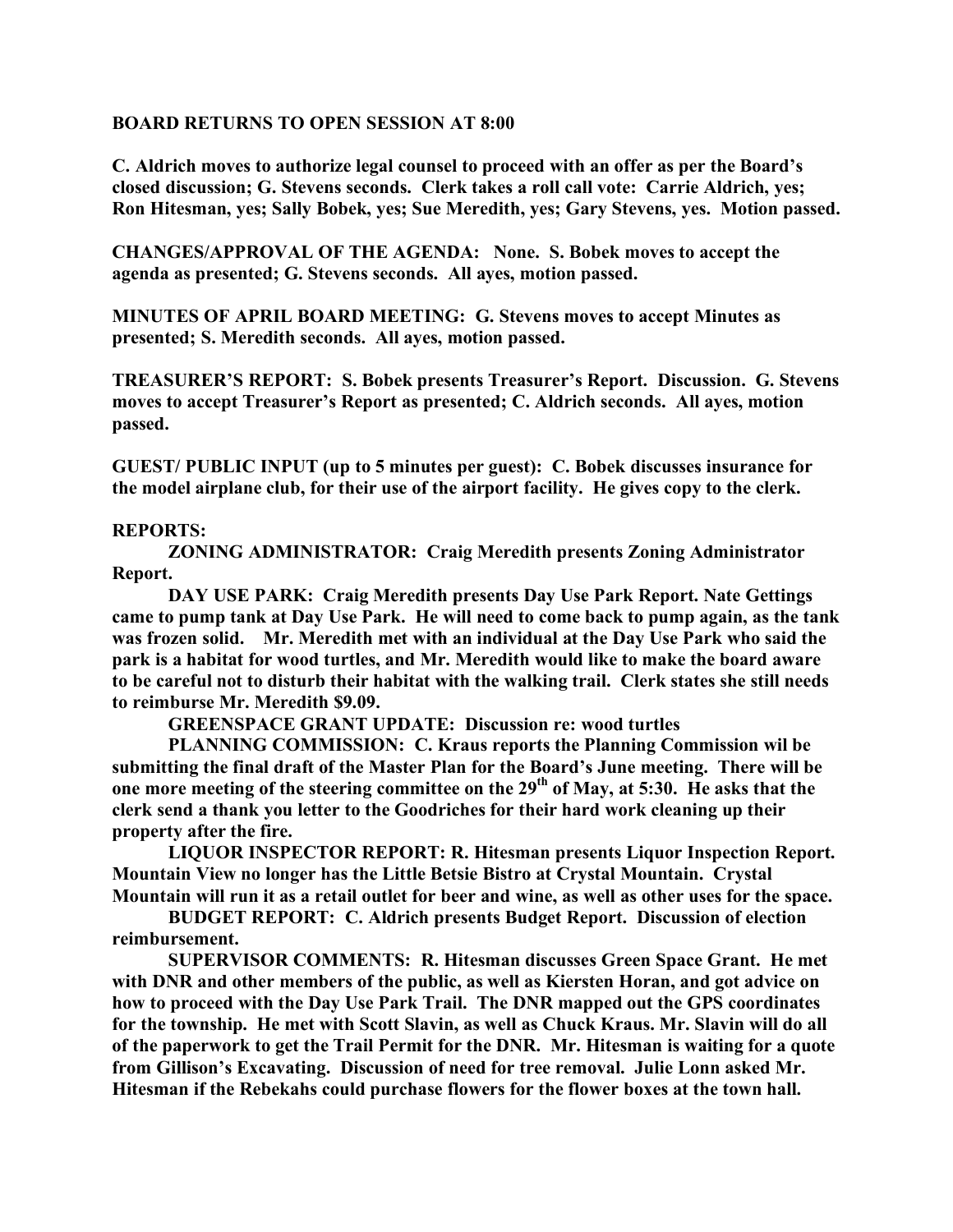### **BOARD RETURNS TO OPEN SESSION AT 8:00**

**C. Aldrich moves to authorize legal counsel to proceed with an offer as per the Board's closed discussion; G. Stevens seconds. Clerk takes a roll call vote: Carrie Aldrich, yes; Ron Hitesman, yes; Sally Bobek, yes; Sue Meredith, yes; Gary Stevens, yes. Motion passed.**

**CHANGES/APPROVAL OF THE AGENDA: None. S. Bobek moves to accept the agenda as presented; G. Stevens seconds. All ayes, motion passed.**

**MINUTES OF APRIL BOARD MEETING: G. Stevens moves to accept Minutes as presented; S. Meredith seconds. All ayes, motion passed.**

**TREASURER'S REPORT: S. Bobek presents Treasurer's Report. Discussion. G. Stevens moves to accept Treasurer's Report as presented; C. Aldrich seconds. All ayes, motion passed.**

**GUEST/ PUBLIC INPUT (up to 5 minutes per guest): C. Bobek discusses insurance for the model airplane club, for their use of the airport facility. He gives copy to the clerk.**

## **REPORTS:**

**ZONING ADMINISTRATOR: Craig Meredith presents Zoning Administrator Report.**

**DAY USE PARK: Craig Meredith presents Day Use Park Report. Nate Gettings came to pump tank at Day Use Park. He will need to come back to pump again, as the tank was frozen solid. Mr. Meredith met with an individual at the Day Use Park who said the park is a habitat for wood turtles, and Mr. Meredith would like to make the board aware to be careful not to disturb their habitat with the walking trail. Clerk states she still needs to reimburse Mr. Meredith \$9.09.**

**GREENSPACE GRANT UPDATE: Discussion re: wood turtles**

**PLANNING COMMISSION: C. Kraus reports the Planning Commission wil be submitting the final draft of the Master Plan for the Board's June meeting. There will be one more meeting of the steering committee on the 29th of May, at 5:30. He asks that the clerk send a thank you letter to the Goodriches for their hard work cleaning up their property after the fire.**

**LIQUOR INSPECTOR REPORT: R. Hitesman presents Liquor Inspection Report. Mountain View no longer has the Little Betsie Bistro at Crystal Mountain. Crystal** Mountain will run it as a retail outlet for beer and wine, as well as other uses for the space.

**BUDGET REPORT: C. Aldrich presents Budget Report. Discussion of election reimbursement.**

**SUPERVISOR COMMENTS: R. Hitesman discusses Green Space Grant. He met with DNR and other members of the public, as well as Kiersten Horan, and got advice on how to proceed with the Day Use Park Trail. The DNR mapped out the GPS coordinates for the township. He met with Scott Slavin, as well as Chuck Kraus. Mr. Slavin will do all of the paperwork to get the Trail Permit for the DNR. Mr. Hitesman is waiting for a quote from Gillison's Excavating. Discussion of need for tree removal. Julie Lonn asked Mr. Hitesman if the Rebekahs could purchase flowers for the flower boxes at the town hall.**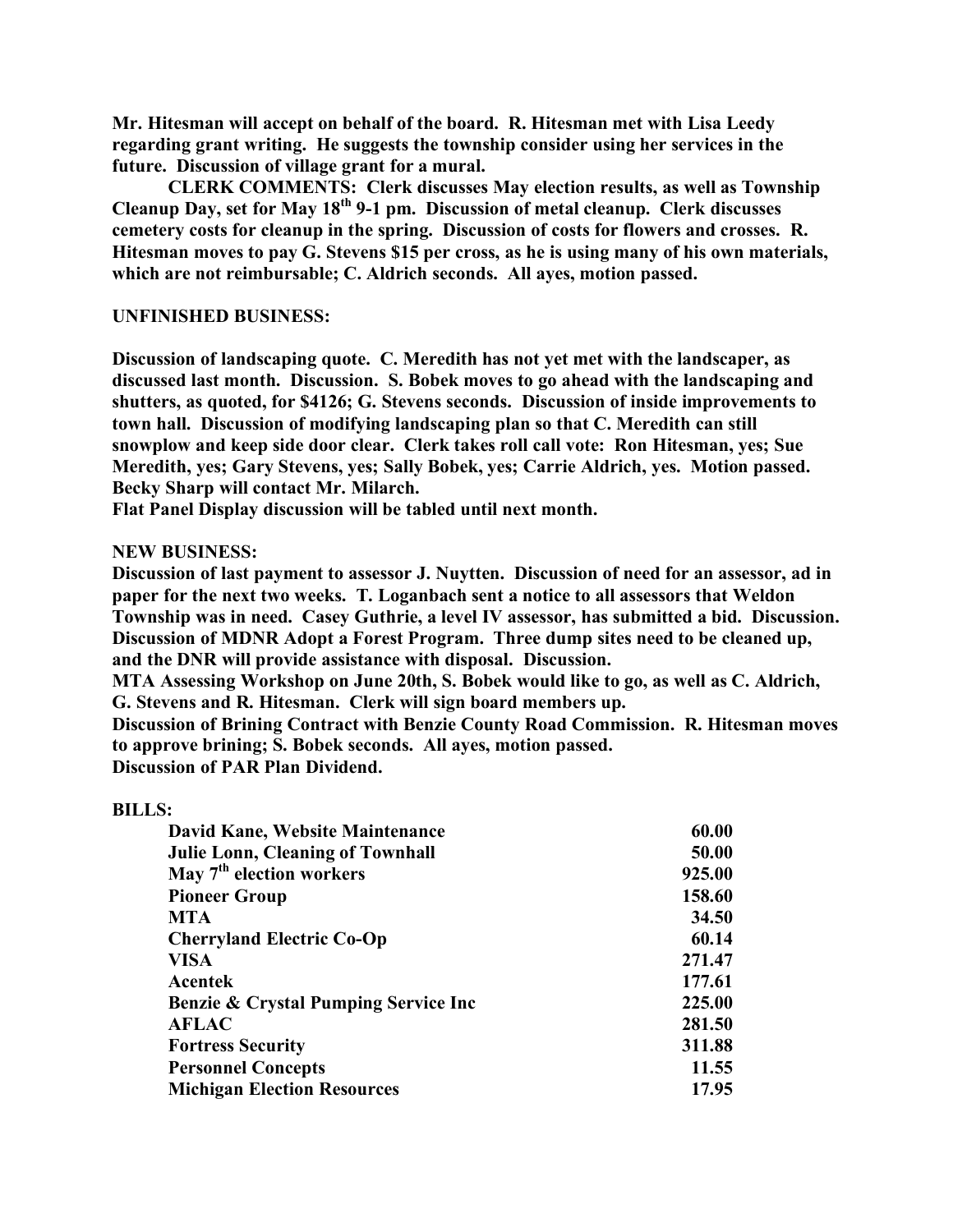**Mr. Hitesman will accept on behalf of the board. R. Hitesman met with Lisa Leedy regarding grant writing. He suggests the township consider using her services in the future. Discussion of village grant for a mural.**

**CLERK COMMENTS: Clerk discusses May election results, as well as Township Cleanup Day, set for May 18th 9-1 pm. Discussion of metal cleanup. Clerk discusses cemetery costs for cleanup in the spring. Discussion of costs for flowers and crosses. R. Hitesman moves to pay G. Stevens \$15 per cross, as he is using many of his own materials, which are not reimbursable; C. Aldrich seconds. All ayes, motion passed.**

#### **UNFINISHED BUSINESS:**

**Discussion of landscaping quote. C. Meredith has not yet met with the landscaper, as discussed last month. Discussion. S. Bobek moves to go ahead with the landscaping and shutters, as quoted, for \$4126; G. Stevens seconds. Discussion of inside improvements to town hall. Discussion of modifying landscaping plan so that C. Meredith can still snowplow and keep side door clear. Clerk takes roll call vote: Ron Hitesman, yes; Sue Meredith, yes; Gary Stevens, yes; Sally Bobek, yes; Carrie Aldrich, yes. Motion passed. Becky Sharp will contact Mr. Milarch.**

**Flat Panel Display discussion will be tabled until next month.**

#### **NEW BUSINESS:**

**Discussion of last payment to assessor J. Nuytten. Discussion of need for an assessor, ad in paper for the next two weeks. T. Loganbach sent a notice to all assessors that Weldon Township was in need. Casey Guthrie, a level IV assessor, has submitted a bid. Discussion. Discussion of MDNR Adopt a Forest Program. Three dump sites need to be cleaned up, and the DNR will provide assistance with disposal. Discussion.**

**MTA Assessing Workshop on June 20th, S. Bobek would like to go, as well as C. Aldrich, G. Stevens and R. Hitesman. Clerk will sign board members up.**

**Discussion of Brining Contract with Benzie County Road Commission. R. Hitesman moves to approve brining; S. Bobek seconds. All ayes, motion passed.**

**Discussion of PAR Plan Dividend.**

#### **BILLS:**

| David Kane, Website Maintenance                  | 60.00  |
|--------------------------------------------------|--------|
| <b>Julie Lonn, Cleaning of Townhall</b>          | 50.00  |
| May $7th$ election workers                       | 925.00 |
| <b>Pioneer Group</b>                             | 158.60 |
| <b>MTA</b>                                       | 34.50  |
| <b>Cherryland Electric Co-Op</b>                 | 60.14  |
| <b>VISA</b>                                      | 271.47 |
| Acentek                                          | 177.61 |
| <b>Benzie &amp; Crystal Pumping Service Inc.</b> | 225.00 |
| <b>AFLAC</b>                                     | 281.50 |
| <b>Fortress Security</b>                         | 311.88 |
| <b>Personnel Concepts</b>                        | 11.55  |
| <b>Michigan Election Resources</b>               | 17.95  |